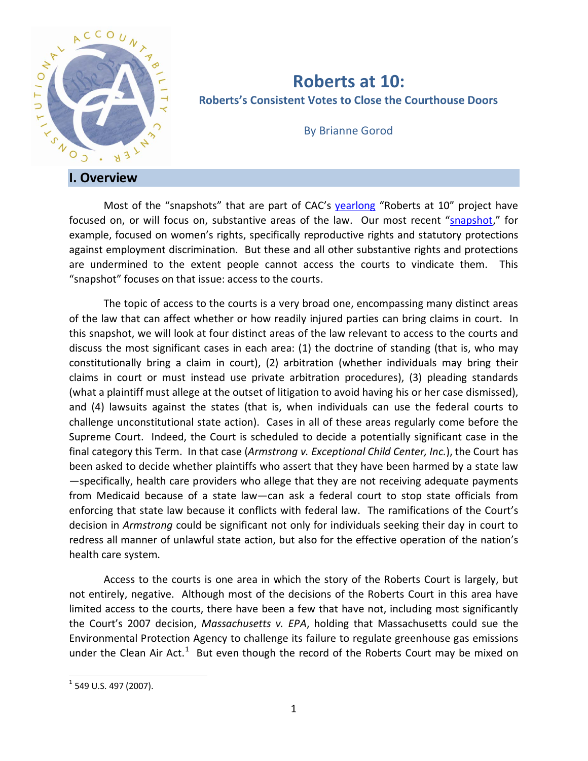

# **Roberts at 10: Roberts's Consistent Votes to Close the Courthouse Doors**

By Brianne Gorod

Most of the "snapshots" that are part of CAC's [yearlong](http://theusconstitution.org/sites/default/files/briefs/Roberts-at-10-A-Look-at-the-First-Decade.pdf) "Roberts at 10" project have focused on, or will focus on, substantive areas of the law. Our most recent ["snapshot,](http://theusconstitution.org/sites/default/files/briefs/Roberts-at-10-Roberts-Quiet-But-Critical-Votes-To-Limit-Womens-Rights.pdf)" for example, focused on women's rights, specifically reproductive rights and statutory protections against employment discrimination. But these and all other substantive rights and protections are undermined to the extent people cannot access the courts to vindicate them. This "snapshot" focuses on that issue: access to the courts.

The topic of access to the courts is a very broad one, encompassing many distinct areas of the law that can affect whether or how readily injured parties can bring claims in court. In this snapshot, we will look at four distinct areas of the law relevant to access to the courts and discuss the most significant cases in each area: (1) the doctrine of standing (that is, who may constitutionally bring a claim in court), (2) arbitration (whether individuals may bring their claims in court or must instead use private arbitration procedures), (3) pleading standards (what a plaintiff must allege at the outset of litigation to avoid having his or her case dismissed), and (4) lawsuits against the states (that is, when individuals can use the federal courts to challenge unconstitutional state action). Cases in all of these areas regularly come before the Supreme Court. Indeed, the Court is scheduled to decide a potentially significant case in the final category this Term. In that case (*Armstrong v. Exceptional Child Center, Inc.*), the Court has been asked to decide whether plaintiffs who assert that they have been harmed by a state law —specifically, health care providers who allege that they are not receiving adequate payments from Medicaid because of a state law—can ask a federal court to stop state officials from enforcing that state law because it conflicts with federal law. The ramifications of the Court's decision in *Armstrong* could be significant not only for individuals seeking their day in court to redress all manner of unlawful state action, but also for the effective operation of the nation's health care system.

Access to the courts is one area in which the story of the Roberts Court is largely, but not entirely, negative. Although most of the decisions of the Roberts Court in this area have limited access to the courts, there have been a few that have not, including most significantly the Court's 2007 decision, *Massachusetts v. EPA*, holding that Massachusetts could sue the Environmental Protection Agency to challenge its failure to regulate greenhouse gas emissions under the Clean Air Act. $1$  But even though the record of the Roberts Court may be mixed on

<span id="page-0-0"></span> $<sup>1</sup>$  549 U.S. 497 (2007).</sup>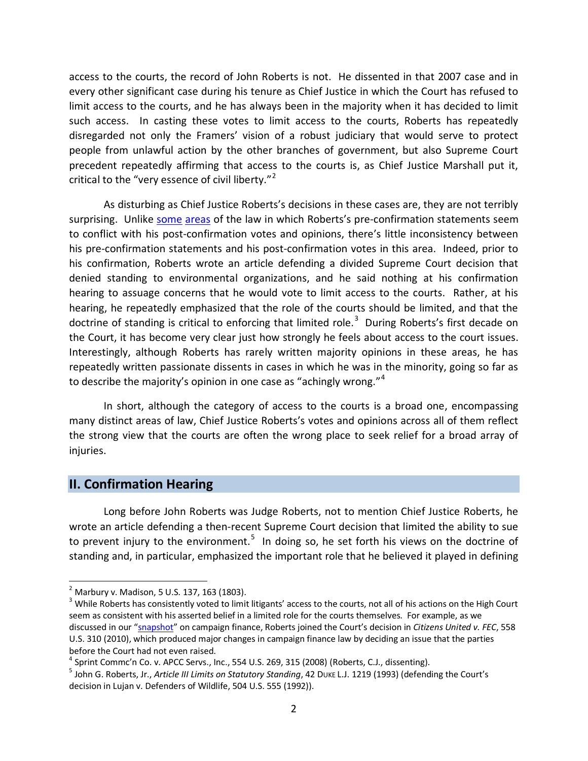access to the courts, the record of John Roberts is not. He dissented in that 2007 case and in every other significant case during his tenure as Chief Justice in which the Court has refused to limit access to the courts, and he has always been in the majority when it has decided to limit such access. In casting these votes to limit access to the courts, Roberts has repeatedly disregarded not only the Framers' vision of a robust judiciary that would serve to protect people from unlawful action by the other branches of government, but also Supreme Court precedent repeatedly affirming that access to the courts is, as Chief Justice Marshall put it, critical to the "very essence of civil liberty."<sup>[2](#page-1-0)</sup>

As disturbing as Chief Justice Roberts's decisions in these cases are, they are not terribly surprising. Unlike [some](http://theusconstitution.org/sites/default/files/briefs/Roberts-at-10-Roberts-Quiet-But-Critical-Votes-To-Limit-Womens-Rights.pdf) [areas](http://theusconstitution.org/sites/default/files/briefs/Roberts-at-10-Evolving-Story-of-John-Roberts-federal-power.pdf) of the law in which Roberts's pre-confirmation statements seem to conflict with his post-confirmation votes and opinions, there's little inconsistency between his pre-confirmation statements and his post-confirmation votes in this area. Indeed, prior to his confirmation, Roberts wrote an article defending a divided Supreme Court decision that denied standing to environmental organizations, and he said nothing at his confirmation hearing to assuage concerns that he would vote to limit access to the courts. Rather, at his hearing, he repeatedly emphasized that the role of the courts should be limited, and that the doctrine of standing is critical to enforcing that limited role.<sup>[3](#page-1-1)</sup> During Roberts's first decade on the Court, it has become very clear just how strongly he feels about access to the court issues. Interestingly, although Roberts has rarely written majority opinions in these areas, he has repeatedly written passionate dissents in cases in which he was in the minority, going so far as to describe the majority's opinion in one case as "achingly wrong."<sup>[4](#page-1-2)</sup>

In short, although the category of access to the courts is a broad one, encompassing many distinct areas of law, Chief Justice Roberts's votes and opinions across all of them reflect the strong view that the courts are often the wrong place to seek relief for a broad array of injuries.

#### **II. Confirmation Hearing**

Long before John Roberts was Judge Roberts, not to mention Chief Justice Roberts, he wrote an article defending a then-recent Supreme Court decision that limited the ability to sue to prevent injury to the environment.<sup>[5](#page-1-3)</sup> In doing so, he set forth his views on the doctrine of standing and, in particular, emphasized the important role that he believed it played in defining

<span id="page-1-0"></span> $<sup>2</sup>$  Marbury v. Madison, 5 U.S. 137, 163 (1803).</sup>

<span id="page-1-1"></span><sup>&</sup>lt;sup>3</sup> While Roberts has consistently voted to limit litigants' access to the courts, not all of his actions on the High Court seem as consistent with his asserted belief in a limited role for the courts themselves. For example, as we discussed in our ["snapshot"](http://theusconstitution.org/sites/default/files/briefs/Roberts-at-10-Easier-to-Donate-Harder-to-Vote.pdf) on campaign finance, Roberts joined the Court's decision in *Citizens United v. FEC*, 558 U.S. 310 (2010), which produced major changes in campaign finance law by deciding an issue that the parties before the Court had not even raised.<br><sup>4</sup> Sprint Commc'n Co. v. APCC Servs., Inc., 554 U.S. 269, 315 (2008) (Roberts, C.J., dissenting).

<span id="page-1-2"></span>

<span id="page-1-3"></span><sup>&</sup>lt;sup>5</sup> John G. Roberts, Jr., Article III Limits on Statutory Standing, 42 Duke L.J. 1219 (1993) (defending the Court's decision in Lujan v. Defenders of Wildlife, 504 U.S. 555 (1992)).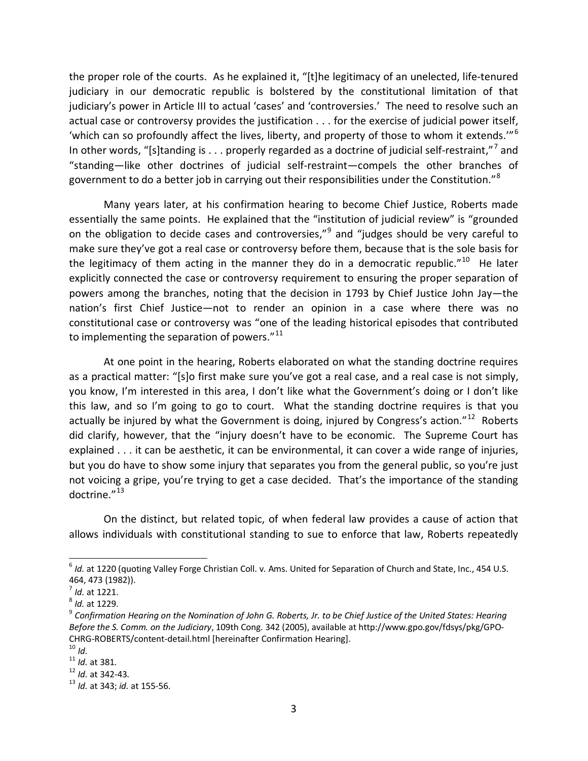the proper role of the courts. As he explained it, "[t]he legitimacy of an unelected, life-tenured judiciary in our democratic republic is bolstered by the constitutional limitation of that judiciary's power in Article III to actual 'cases' and 'controversies.' The need to resolve such an actual case or controversy provides the justification . . . for the exercise of judicial power itself, 'which can so profoundly affect the lives, liberty, and property of those to whom it extends.'" $^6$  $^6$ In other words, "[s]tanding is . . . properly regarded as a doctrine of judicial self-restraint,"[7](#page-2-1) and "standing—like other doctrines of judicial self-restraint—compels the other branches of government to do a better job in carrying out their responsibilities under the Constitution."<sup>[8](#page-2-2)</sup>

Many years later, at his confirmation hearing to become Chief Justice, Roberts made essentially the same points. He explained that the "institution of judicial review" is "grounded on the obligation to decide cases and controversies,"<sup>[9](#page-2-3)</sup> and "judges should be very careful to make sure they've got a real case or controversy before them, because that is the sole basis for the legitimacy of them acting in the manner they do in a democratic republic."<sup>[10](#page-2-4)</sup> He later explicitly connected the case or controversy requirement to ensuring the proper separation of powers among the branches, noting that the decision in 1793 by Chief Justice John Jay—the nation's first Chief Justice—not to render an opinion in a case where there was no constitutional case or controversy was "one of the leading historical episodes that contributed to implementing the separation of powers. $"^{11}$  $"^{11}$  $"^{11}$ 

At one point in the hearing, Roberts elaborated on what the standing doctrine requires as a practical matter: "[s]o first make sure you've got a real case, and a real case is not simply, you know, I'm interested in this area, I don't like what the Government's doing or I don't like this law, and so I'm going to go to court. What the standing doctrine requires is that you actually be injured by what the Government is doing, injured by Congress's action." $^{12}$  $^{12}$  $^{12}$  Roberts did clarify, however, that the "injury doesn't have to be economic. The Supreme Court has explained . . . it can be aesthetic, it can be environmental, it can cover a wide range of injuries, but you do have to show some injury that separates you from the general public, so you're just not voicing a gripe, you're trying to get a case decided. That's the importance of the standing doctrine."[13](#page-2-7)

On the distinct, but related topic, of when federal law provides a cause of action that allows individuals with constitutional standing to sue to enforce that law, Roberts repeatedly

<span id="page-2-0"></span><sup>6</sup> *Id.* at 1220 (quoting Valley Forge Christian Coll. v. Ams. United for Separation of Church and State, Inc., 454 U.S. 464, 473 (1982)).<br><sup>7</sup> *Id.* at 1221.<br><sup>8</sup> *Id.* at 1229.<br><sup>9</sup> Confirmation Hearing on the Nomination of John G. Roberts, Jr. to be Chief Justice of the United States: Hearing

<span id="page-2-1"></span>

<span id="page-2-3"></span><span id="page-2-2"></span>*Before the S. Comm. on the Judiciary*, 109th Cong. 342 (2005), available at http://www.gpo.gov/fdsys/pkg/GPO-CHRG-ROBERTS/content-detail.html [hereinafter Confirmation Hearing].<br><sup>10</sup> *Id.*<br><sup>11</sup> *Id.* at 381.<br><sup>12</sup> *Id.* at 342-43.<br><sup>13</sup> *Id.* at 343; *id.* at 155-56.

<span id="page-2-5"></span><span id="page-2-4"></span>

<span id="page-2-6"></span>

<span id="page-2-7"></span>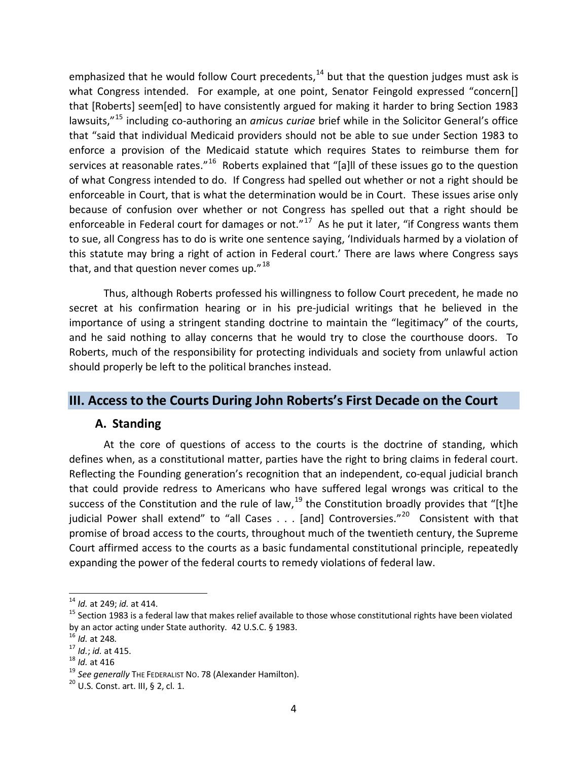emphasized that he would follow Court precedents,<sup>[14](#page-3-0)</sup> but that the question judges must ask is what Congress intended. For example, at one point, Senator Feingold expressed "concern[] that [Roberts] seem[ed] to have consistently argued for making it harder to bring Section 1983 lawsuits,"[15](#page-3-1) including co-authoring an *amicu*s *curiae* brief while in the Solicitor General's office that "said that individual Medicaid providers should not be able to sue under Section 1983 to enforce a provision of the Medicaid statute which requires States to reimburse them for services at reasonable rates."<sup>[16](#page-3-2)</sup> Roberts explained that "[a]ll of these issues go to the question of what Congress intended to do. If Congress had spelled out whether or not a right should be enforceable in Court, that is what the determination would be in Court. These issues arise only because of confusion over whether or not Congress has spelled out that a right should be enforceable in Federal court for damages or not." $17$  As he put it later, "if Congress wants them to sue, all Congress has to do is write one sentence saying, 'Individuals harmed by a violation of this statute may bring a right of action in Federal court.' There are laws where Congress says that, and that question never comes up. $"18"$  $"18"$  $"18"$ 

Thus, although Roberts professed his willingness to follow Court precedent, he made no secret at his confirmation hearing or in his pre-judicial writings that he believed in the importance of using a stringent standing doctrine to maintain the "legitimacy" of the courts, and he said nothing to allay concerns that he would try to close the courthouse doors. To Roberts, much of the responsibility for protecting individuals and society from unlawful action should properly be left to the political branches instead.

# **III. Access to the Courts During John Roberts's First Decade on the Court**

### **A. Standing**

At the core of questions of access to the courts is the doctrine of standing, which defines when, as a constitutional matter, parties have the right to bring claims in federal court. Reflecting the Founding generation's recognition that an independent, co-equal judicial branch that could provide redress to Americans who have suffered legal wrongs was critical to the success of the Constitution and the rule of law,  $^{19}$  $^{19}$  $^{19}$  the Constitution broadly provides that "[t]he judicial Power shall extend" to "all Cases  $\ldots$  [and] Controversies."<sup>20</sup> Consistent with that promise of broad access to the courts, throughout much of the twentieth century, the Supreme Court affirmed access to the courts as a basic fundamental constitutional principle, repeatedly expanding the power of the federal courts to remedy violations of federal law.

<span id="page-3-0"></span> $14$  Id. at 249; id. at 414.

<span id="page-3-1"></span><sup>&</sup>lt;sup>15</sup> Section 1983 is a federal law that makes relief available to those whose constitutional rights have been violated<br>by an actor acting under State authority. 42 U.S.C. § 1983.

<span id="page-3-5"></span><span id="page-3-4"></span>

<span id="page-3-3"></span><span id="page-3-2"></span><sup>&</sup>lt;sup>16</sup> *Id.* at 248.<br><sup>17</sup> *Id.*; *id.* at 415.<br><sup>18</sup> *Id.* at 416<br><sup>19</sup> *See generally* THE FEDERALIST NO. 78 (Alexander Hamilton).<br><sup>20</sup> U.S. Const. art. III, § 2, cl. 1.

<span id="page-3-6"></span>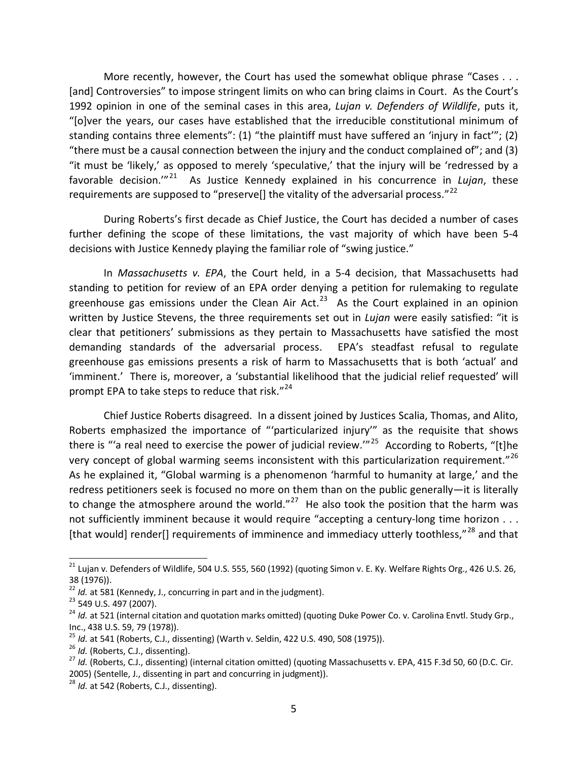More recently, however, the Court has used the somewhat oblique phrase "Cases . . . [and] Controversies" to impose stringent limits on who can bring claims in Court. As the Court's 1992 opinion in one of the seminal cases in this area, *Lujan v. Defenders of Wildlife*, puts it, "[o]ver the years, our cases have established that the irreducible constitutional minimum of standing contains three elements": (1) "the plaintiff must have suffered an 'injury in fact'"; (2) "there must be a causal connection between the injury and the conduct complained of"; and (3) "it must be 'likely,' as opposed to merely 'speculative,' that the injury will be 'redressed by a favorable decision.'"[21](#page-4-0) As Justice Kennedy explained in his concurrence in *Lujan*, these requirements are supposed to "preserve[] the vitality of the adversarial process." $^{22}$  $^{22}$  $^{22}$ 

During Roberts's first decade as Chief Justice, the Court has decided a number of cases further defining the scope of these limitations, the vast majority of which have been 5-4 decisions with Justice Kennedy playing the familiar role of "swing justice."

In *Massachusetts v. EPA*, the Court held, in a 5-4 decision, that Massachusetts had standing to petition for review of an EPA order denying a petition for rulemaking to regulate greenhouse gas emissions under the Clean Air Act.<sup>[23](#page-4-2)</sup> As the Court explained in an opinion written by Justice Stevens, the three requirements set out in *Lujan* were easily satisfied: "it is clear that petitioners' submissions as they pertain to Massachusetts have satisfied the most demanding standards of the adversarial process. EPA's steadfast refusal to regulate greenhouse gas emissions presents a risk of harm to Massachusetts that is both 'actual' and 'imminent.' There is, moreover, a 'substantial likelihood that the judicial relief requested' will prompt EPA to take steps to reduce that risk."<sup>24</sup>

Chief Justice Roberts disagreed. In a dissent joined by Justices Scalia, Thomas, and Alito, Roberts emphasized the importance of "'particularized injury'" as the requisite that shows there is "'a real need to exercise the power of judicial review."<sup>25</sup> According to Roberts, "[t]he very concept of global warming seems inconsistent with this particularization requirement."<sup>[26](#page-4-5)</sup> As he explained it, "Global warming is a phenomenon 'harmful to humanity at large,' and the redress petitioners seek is focused no more on them than on the public generally—it is literally to change the atmosphere around the world."<sup>[27](#page-4-6)</sup> He also took the position that the harm was not sufficiently imminent because it would require "accepting a century-long time horizon . . . [that would] render[] requirements of imminence and immediacy utterly toothless,"<sup>[28](#page-4-7)</sup> and that

<span id="page-4-0"></span> $^{21}$  Lujan v. Defenders of Wildlife, 504 U.S. 555, 560 (1992) (quoting Simon v. E. Ky. Welfare Rights Org., 426 U.S. 26, 38 (1976)).<br><sup>22</sup> Id. at 581 (Kennedy, J., concurring in part and in the judgment).<br><sup>23</sup> 549 U.S. 497 (2007).<br><sup>24</sup> Id. at 521 (internal citation and quotation marks omitted) (quoting Duke Power Co. v. Carolina Envtl. Study

<span id="page-4-1"></span>

<span id="page-4-2"></span>

<span id="page-4-3"></span>Inc., 438 U.S. 59, 79 (1978)).<br><sup>25</sup> *Id.* at 541 (Roberts, C.J., dissenting) (Warth v. Seldin, 422 U.S. 490, 508 (1975)).<br><sup>26</sup> *Id.* (Roberts, C.J., dissenting).<br><sup>27</sup> *Id.* (Roberts, C.J., dissenting) (internal citation om

<span id="page-4-4"></span>

<span id="page-4-6"></span><span id="page-4-5"></span><sup>2005) (</sup>Sentelle, J., dissenting in part and concurring in judgment)). <sup>28</sup> *Id.* at 542 (Roberts, C.J., dissenting).

<span id="page-4-7"></span>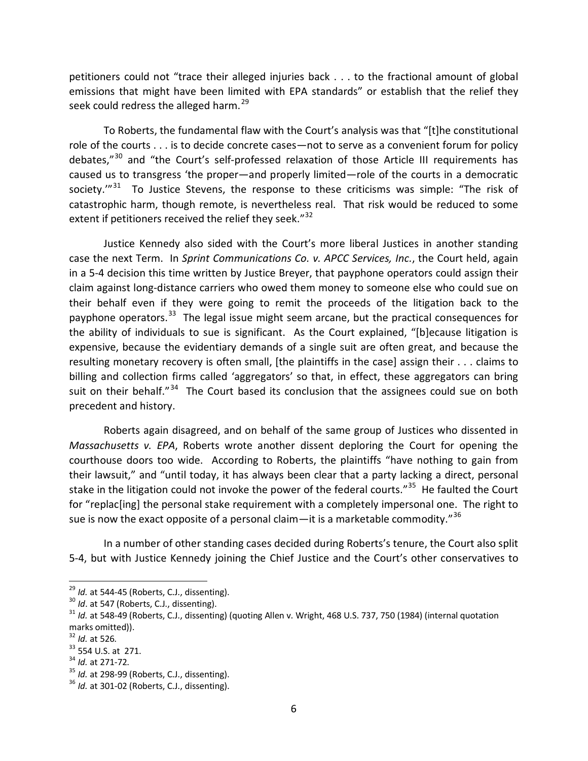petitioners could not "trace their alleged injuries back . . . to the fractional amount of global emissions that might have been limited with EPA standards" or establish that the relief they seek could redress the alleged harm.<sup>[29](#page-5-0)</sup>

To Roberts, the fundamental flaw with the Court's analysis was that "[t]he constitutional role of the courts . . . is to decide concrete cases—not to serve as a convenient forum for policy debates,"<sup>[30](#page-5-1)</sup> and "the Court's self-professed relaxation of those Article III requirements has caused us to transgress 'the proper—and properly limited—role of the courts in a democratic society.'"<sup>[31](#page-5-2)</sup> To Justice Stevens, the response to these criticisms was simple: "The risk of catastrophic harm, though remote, is nevertheless real. That risk would be reduced to some extent if petitioners received the relief they seek."<sup>[32](#page-5-3)</sup>

Justice Kennedy also sided with the Court's more liberal Justices in another standing case the next Term. In *Sprint Communications Co. v. APCC Services, Inc.*, the Court held, again in a 5-4 decision this time written by Justice Breyer, that payphone operators could assign their claim against long-distance carriers who owed them money to someone else who could sue on their behalf even if they were going to remit the proceeds of the litigation back to the payphone operators.<sup>33</sup> The legal issue might seem arcane, but the practical consequences for the ability of individuals to sue is significant. As the Court explained, "[b]ecause litigation is expensive, because the evidentiary demands of a single suit are often great, and because the resulting monetary recovery is often small, [the plaintiffs in the case] assign their . . . claims to billing and collection firms called 'aggregators' so that, in effect, these aggregators can bring suit on their behalf."<sup>34</sup> The Court based its conclusion that the assignees could sue on both precedent and history.

Roberts again disagreed, and on behalf of the same group of Justices who dissented in *Massachusetts v. EPA*, Roberts wrote another dissent deploring the Court for opening the courthouse doors too wide. According to Roberts, the plaintiffs "have nothing to gain from their lawsuit," and "until today, it has always been clear that a party lacking a direct, personal stake in the litigation could not invoke the power of the federal courts."<sup>[35](#page-5-6)</sup> He faulted the Court for "replac[ing] the personal stake requirement with a completely impersonal one. The right to sue is now the exact opposite of a personal claim—it is a marketable commodity."<sup>[36](#page-5-7)</sup>

In a number of other standing cases decided during Roberts's tenure, the Court also split 5-4, but with Justice Kennedy joining the Chief Justice and the Court's other conservatives to

<span id="page-5-2"></span><span id="page-5-1"></span>

<span id="page-5-0"></span><sup>&</sup>lt;sup>29</sup> Id. at 544-45 (Roberts, C.J., dissenting).<br><sup>30</sup> Id. at 547 (Roberts, C.J., dissenting).<br><sup>31</sup> Id. at 548-49 (Roberts, C.J., dissenting) (quoting Allen v. Wright, 468 U.S. 737, 750 (1984) (internal quotation marks omitted)).<br><sup>32</sup> *Id.* at 526.<br><sup>33</sup> 554 U.S. at 271.<br><sup>34</sup> *Id.* at 271-72.<br><sup>35</sup> *Id.* at 298-99 (Roberts, C.J., dissenting).<br><sup>36</sup> *Id.* at 301-02 (Roberts, C.J., dissenting).

<span id="page-5-3"></span>

<span id="page-5-4"></span>

<span id="page-5-5"></span>

<span id="page-5-6"></span>

<span id="page-5-7"></span>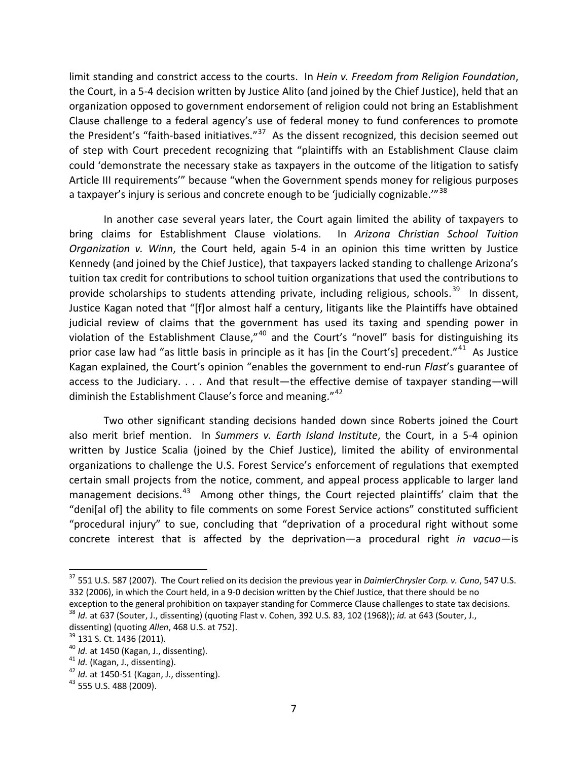limit standing and constrict access to the courts. In *Hein v. Freedom from Religion Foundation*, the Court, in a 5-4 decision written by Justice Alito (and joined by the Chief Justice), held that an organization opposed to government endorsement of religion could not bring an Establishment Clause challenge to a federal agency's use of federal money to fund conferences to promote the President's "faith-based initiatives."<sup>37</sup> As the dissent recognized, this decision seemed out of step with Court precedent recognizing that "plaintiffs with an Establishment Clause claim could 'demonstrate the necessary stake as taxpayers in the outcome of the litigation to satisfy Article III requirements'" because "when the Government spends money for religious purposes a taxpayer's injury is serious and concrete enough to be 'judicially cognizable."<sup>38</sup>

In another case several years later, the Court again limited the ability of taxpayers to bring claims for Establishment Clause violations. In *Arizona Christian School Tuition Organization v. Winn*, the Court held, again 5-4 in an opinion this time written by Justice Kennedy (and joined by the Chief Justice), that taxpayers lacked standing to challenge Arizona's tuition tax credit for contributions to school tuition organizations that used the contributions to provide scholarships to students attending private, including religious, schools.<sup>[39](#page-6-2)</sup> In dissent, Justice Kagan noted that "[f]or almost half a century, litigants like the Plaintiffs have obtained judicial review of claims that the government has used its taxing and spending power in violation of the Establishment Clause," $40$  and the Court's "novel" basis for distinguishing its prior case law had "as little basis in principle as it has [in the Court's] precedent."<sup>41</sup> As Justice Kagan explained, the Court's opinion "enables the government to end-run *Flast*'s guarantee of access to the Judiciary. . . . And that result—the effective demise of taxpayer standing—will diminish the Establishment Clause's force and meaning."<sup>[42](#page-6-5)</sup>

Two other significant standing decisions handed down since Roberts joined the Court also merit brief mention. In *Summers v. Earth Island Institute*, the Court, in a 5-4 opinion written by Justice Scalia (joined by the Chief Justice), limited the ability of environmental organizations to challenge the U.S. Forest Service's enforcement of regulations that exempted certain small projects from the notice, comment, and appeal process applicable to larger land management decisions.<sup>[43](#page-6-6)</sup> Among other things, the Court rejected plaintiffs' claim that the "deni[al of] the ability to file comments on some Forest Service actions" constituted sufficient "procedural injury" to sue, concluding that "deprivation of a procedural right without some concrete interest that is affected by the deprivation—a procedural right *in vacuo*—is

<span id="page-6-0"></span><sup>37</sup> 551 U.S. 587 (2007). The Court relied on its decision the previous year in *DaimlerChrysler Corp. v. Cuno*, 547 U.S. 332 (2006), in which the Court held, in a 9-0 decision written by the Chief Justice, that there should be no exception to the general prohibition on taxpayer standing for Commerce Clause challenges to state tax decisions.

<span id="page-6-1"></span><sup>38</sup> *Id.* at 637 (Souter, J., dissenting) (quoting Flast v. Cohen, 392 U.S. 83, 102 (1968)); *id.* at 643 (Souter, J.,

<span id="page-6-3"></span>

<span id="page-6-5"></span><span id="page-6-4"></span>

<span id="page-6-2"></span>dissenting) (quoting Allen, 468 U.S. at 752).<br><sup>39</sup> 131 S. Ct. 1436 (2011).<br><sup>40</sup> *ld.* at 1450 (Kagan, J., dissenting).<br><sup>41</sup> *ld.* (Kagan, J., dissenting).<br><sup>42</sup> *ld.* at 1450-51 (Kagan, J., dissenting).<br><sup>43</sup> 555 U.S. 488 (

<span id="page-6-6"></span>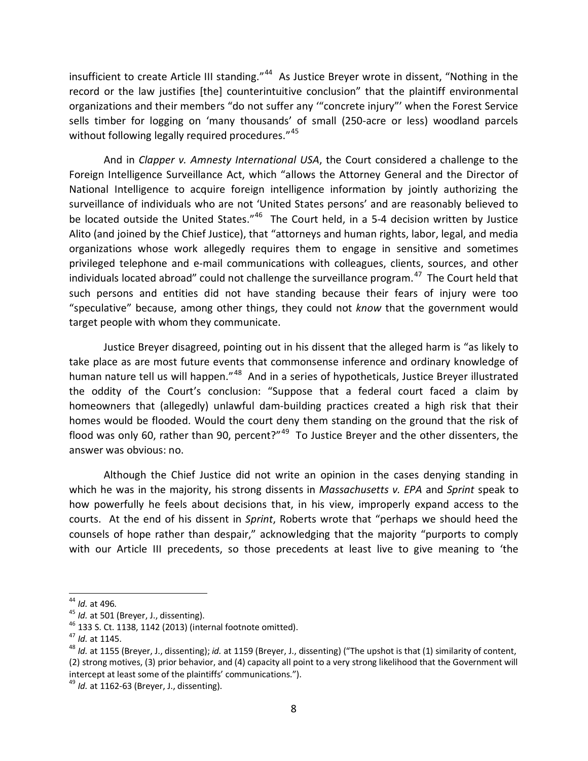insufficient to create Article III standing."<sup>44</sup> As Justice Breyer wrote in dissent, "Nothing in the record or the law justifies [the] counterintuitive conclusion" that the plaintiff environmental organizations and their members "do not suffer any '"concrete injury"' when the Forest Service sells timber for logging on 'many thousands' of small (250-acre or less) woodland parcels without following legally required procedures."<sup>[45](#page-7-1)</sup>

And in *Clapper v. Amnesty International USA*, the Court considered a challenge to the Foreign Intelligence Surveillance Act, which "allows the Attorney General and the Director of National Intelligence to acquire foreign intelligence information by jointly authorizing the surveillance of individuals who are not 'United States persons' and are reasonably believed to be located outside the United States."<sup>46</sup> The Court held, in a 5-4 decision written by Justice Alito (and joined by the Chief Justice), that "attorneys and human rights, labor, legal, and media organizations whose work allegedly requires them to engage in sensitive and sometimes privileged telephone and e-mail communications with colleagues, clients, sources, and other individuals located abroad" could not challenge the surveillance program. $^{47}$  The Court held that such persons and entities did not have standing because their fears of injury were too "speculative" because, among other things, they could not *know* that the government would target people with whom they communicate.

Justice Breyer disagreed, pointing out in his dissent that the alleged harm is "as likely to take place as are most future events that commonsense inference and ordinary knowledge of human nature tell us will happen."<sup>[48](#page-7-4)</sup> And in a series of hypotheticals, Justice Breyer illustrated the oddity of the Court's conclusion: "Suppose that a federal court faced a claim by homeowners that (allegedly) unlawful dam-building practices created a high risk that their homes would be flooded. Would the court deny them standing on the ground that the risk of flood was only 60, rather than 90, percent?" $49$  To Justice Breyer and the other dissenters, the answer was obvious: no.

Although the Chief Justice did not write an opinion in the cases denying standing in which he was in the majority, his strong dissents in *Massachusetts v. EPA* and *Sprint* speak to how powerfully he feels about decisions that, in his view, improperly expand access to the courts. At the end of his dissent in *Sprint*, Roberts wrote that "perhaps we should heed the counsels of hope rather than despair," acknowledging that the majority "purports to comply with our Article III precedents, so those precedents at least live to give meaning to 'the

<span id="page-7-0"></span> $44$  *Id.* at 496.

<span id="page-7-2"></span>

<span id="page-7-4"></span><span id="page-7-3"></span>

<span id="page-7-1"></span><sup>&</sup>lt;sup>45</sup> *Id.* at 501 (Breyer, J., dissenting).<br><sup>46</sup> 133 S. Ct. 1138, 1142 (2013) (internal footnote omitted).<br><sup>47</sup> *Id.* at 1145.<br><sup>48</sup> *Id.* at 1155 (Breyer, J., dissenting); *id.* at 1159 (Breyer, J., dissenting) ("The upsh (2) strong motives, (3) prior behavior, and (4) capacity all point to a very strong likelihood that the Government will intercept at least some of the plaintiffs' communications.").

<span id="page-7-5"></span><sup>49</sup> *Id.* at 1162-63 (Breyer, J., dissenting).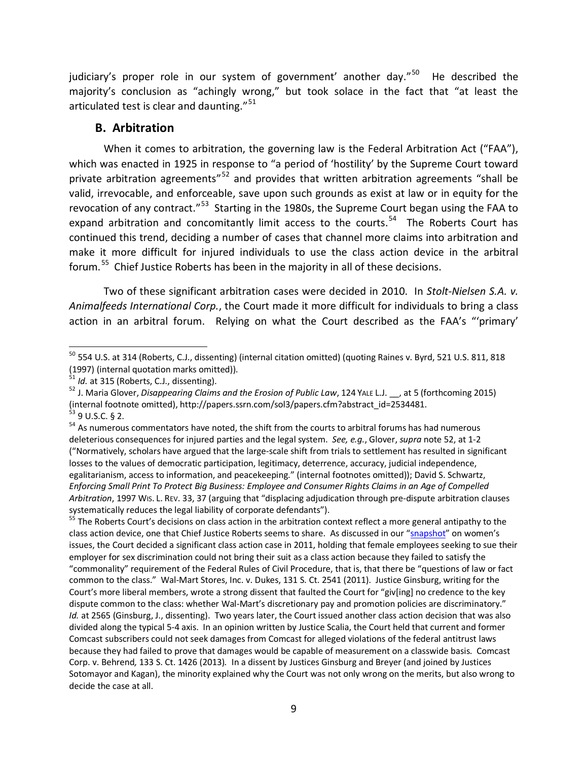judiciary's proper role in our system of government' another day."<sup>[50](#page-8-1)</sup> He described the majority's conclusion as "achingly wrong," but took solace in the fact that "at least the articulated test is clear and daunting."<sup>[51](#page-8-2)</sup>

#### <span id="page-8-0"></span>**B. Arbitration**

When it comes to arbitration, the governing law is the Federal Arbitration Act ("FAA"), which was enacted in 1925 in response to "a period of 'hostility' by the Supreme Court toward private arbitration agreements"<sup>[52](#page-8-3)</sup> and provides that written arbitration agreements "shall be valid, irrevocable, and enforceable, save upon such grounds as exist at law or in equity for the revocation of any contract."[53](#page-8-4) Starting in the 1980s, the Supreme Court began using the FAA to expand arbitration and concomitantly limit access to the courts.<sup>[54](#page-8-5)</sup> The Roberts Court has continued this trend, deciding a number of cases that channel more claims into arbitration and make it more difficult for injured individuals to use the class action device in the arbitral forum.[55](#page-8-6) Chief Justice Roberts has been in the majority in all of these decisions.

Two of these significant arbitration cases were decided in 2010. In *Stolt-Nielsen S.A. v. Animalfeeds International Corp.*, the Court made it more difficult for individuals to bring a class action in an arbitral forum. Relying on what the Court described as the FAA's "'primary'

<span id="page-8-6"></span>class action device, one that Chief Justice Roberts seems to share. As discussed in our ["snapshot"](http://theusconstitution.org/sites/default/files/briefs/Roberts-at-10-Roberts-Quiet-But-Critical-Votes-To-Limit-Womens-Rights.pdf) on women's issues, the Court decided a significant class action case in 2011, holding that female employees seeking to sue their employer for sex discrimination could not bring their suit as a class action because they failed to satisfy the "commonality" requirement of the Federal Rules of Civil Procedure, that is, that there be "questions of law or fact common to the class." Wal-Mart Stores, Inc. v. Dukes, 131 S. Ct. 2541 (2011). Justice Ginsburg, writing for the Court's more liberal members, wrote a strong dissent that faulted the Court for "giv[ing] no credence to the key dispute common to the class: whether Wal-Mart's discretionary pay and promotion policies are discriminatory." *Id.* at 2565 (Ginsburg, J., dissenting). Two years later, the Court issued another class action decision that was also divided along the typical 5-4 axis. In an opinion written by Justice Scalia, the Court held that current and former Comcast subscribers could not seek damages from Comcast for alleged violations of the federal antitrust laws because they had failed to prove that damages would be capable of measurement on a classwide basis. Comcast Corp. v. Behrend*,* 133 S. Ct. 1426 (2013)*.* In a dissent by Justices Ginsburg and Breyer (and joined by Justices Sotomayor and Kagan), the minority explained why the Court was not only wrong on the merits, but also wrong to decide the case at all.

 $^{50}$  554 U.S. at 314 (Roberts, C.J., dissenting) (internal citation omitted) (quoting Raines v. Byrd, 521 U.S. 811, 818  $\overline{a}$ 

<span id="page-8-3"></span>

<span id="page-8-2"></span><span id="page-8-1"></span><sup>(1997) (</sup>internal quotation marks omitted)).<br><sup>51</sup> *Id.* at 315 (Roberts, C.J., dissenting).<br><sup>52</sup> J. Maria Glover, *Disappearing Claims and the Erosion of Public Law*, 124 YALE L.J. \_\_, at 5 (forthcoming 2015)<br>(internal foot

<span id="page-8-5"></span><span id="page-8-4"></span> $\frac{1}{53}$  9 U.S.C. § 2.<br><sup>54</sup> As numerous commentators have noted, the shift from the courts to arbitral forums has had numerous deleterious consequences for injured parties and the legal system. *See, e.g.*, Glover, *supra* not[e 52,](#page-8-0) at 1-2 ("Normatively, scholars have argued that the large-scale shift from trials to settlement has resulted in significant losses to the values of democratic participation, legitimacy, deterrence, accuracy, judicial independence, egalitarianism, access to information, and peacekeeping." (internal footnotes omitted)); David S. Schwartz, *Enforcing Small Print To Protect Big Business: Employee and Consumer Rights Claims in an Age of Compelled Arbitration*, 1997 WIS. L. REV. 33, 37 (arguing that "displacing adjudication through pre-dispute arbitration clauses systematically reduces the legal liability of corporate defendants").<br><sup>55</sup> The Roberts Court's decisions on class action in the arbitration context reflect a more general antipathy to the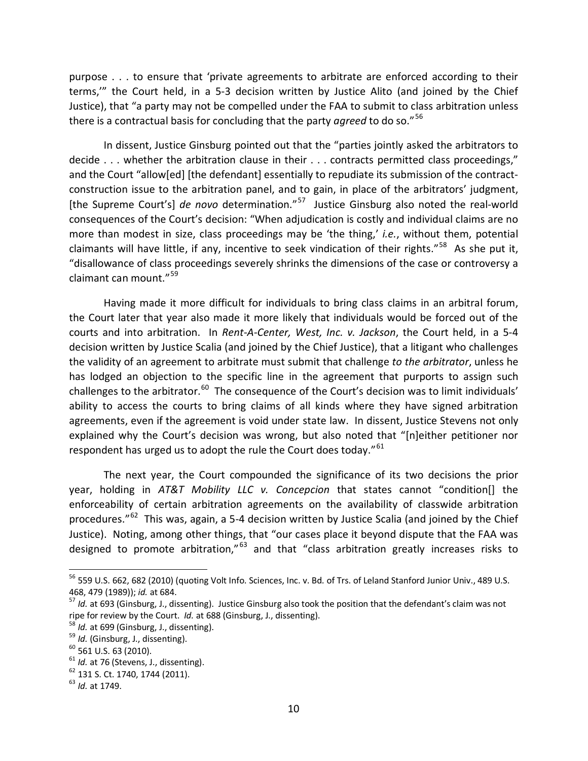purpose . . . to ensure that 'private agreements to arbitrate are enforced according to their terms,'" the Court held, in a 5-3 decision written by Justice Alito (and joined by the Chief Justice), that "a party may not be compelled under the FAA to submit to class arbitration unless there is a contractual basis for concluding that the party *agreed* to do so."[56](#page-9-0) 

In dissent, Justice Ginsburg pointed out that the "parties jointly asked the arbitrators to decide . . . whether the arbitration clause in their . . . contracts permitted class proceedings," and the Court "allow[ed] [the defendant] essentially to repudiate its submission of the contractconstruction issue to the arbitration panel, and to gain, in place of the arbitrators' judgment, [the Supreme Court's] *de novo* determination."<sup>[57](#page-9-1)</sup> Justice Ginsburg also noted the real-world consequences of the Court's decision: "When adjudication is costly and individual claims are no more than modest in size, class proceedings may be 'the thing,' *i.e.*, without them, potential claimants will have little, if any, incentive to seek vindication of their rights."<sup>58</sup> As she put it, "disallowance of class proceedings severely shrinks the dimensions of the case or controversy a claimant can mount."[59](#page-9-3)

Having made it more difficult for individuals to bring class claims in an arbitral forum, the Court later that year also made it more likely that individuals would be forced out of the courts and into arbitration. In *Rent-A-Center, West, Inc. v. Jackson*, the Court held, in a 5-4 decision written by Justice Scalia (and joined by the Chief Justice), that a litigant who challenges the validity of an agreement to arbitrate must submit that challenge *to the arbitrator*, unless he has lodged an objection to the specific line in the agreement that purports to assign such challenges to the arbitrator. $^{60}$  The consequence of the Court's decision was to limit individuals' ability to access the courts to bring claims of all kinds where they have signed arbitration agreements, even if the agreement is void under state law. In dissent, Justice Stevens not only explained why the Court's decision was wrong, but also noted that "[n]either petitioner nor respondent has urged us to adopt the rule the Court does today." $61$ 

The next year, the Court compounded the significance of its two decisions the prior year, holding in *AT&T Mobility LLC v. Concepcion* that states cannot "condition[] the enforceability of certain arbitration agreements on the availability of classwide arbitration procedures."<sup>[62](#page-9-6)</sup> This was, again, a 5-4 decision written by Justice Scalia (and joined by the Chief Justice). Noting, among other things, that "our cases place it beyond dispute that the FAA was designed to promote arbitration,"<sup>[63](#page-9-7)</sup> and that "class arbitration greatly increases risks to

<span id="page-9-0"></span><sup>56</sup> 559 U.S. 662, 682 (2010) (quoting Volt Info. Sciences, Inc. v. Bd. of Trs. of Leland Stanford Junior Univ., 489 U.S. 468, 479 (1989)); *id.* at 684.<br><sup>57</sup> *Id.* at 693 (Ginsburg, J., dissenting). Justice Ginsburg also took the position that the defendant's claim was not

<span id="page-9-1"></span>ripe for review by the Court. *Id.* at 688 (Ginsburg, J., dissenting).<br><sup>58</sup> *Id.* at 699 (Ginsburg, J., dissenting).<br><sup>59</sup> *Id.* (Ginsburg, J., dissenting).<br><sup>60</sup> 60 561 U.S. 63 (2010).<br><sup>61</sup> *Id.* at 76 (Stevens, J., dissen

<span id="page-9-2"></span>

<span id="page-9-3"></span>

<span id="page-9-4"></span>

<span id="page-9-5"></span>

<span id="page-9-6"></span>

<span id="page-9-7"></span>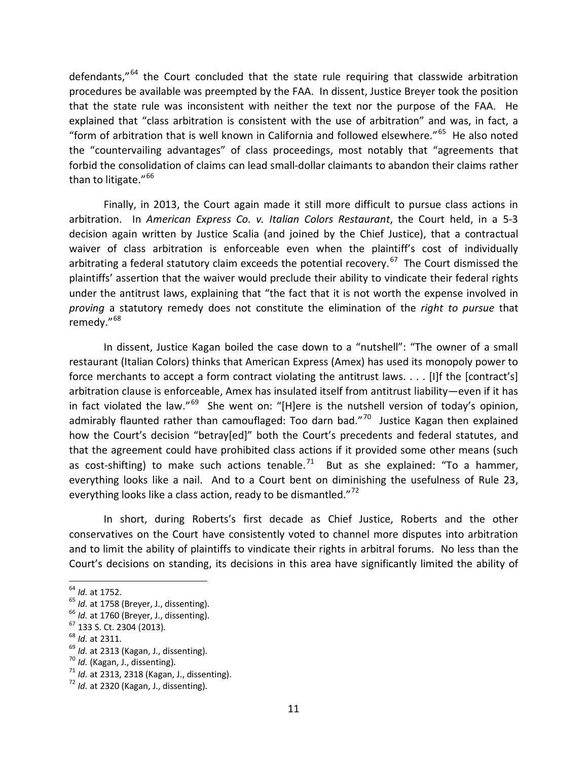defendants,"[64](#page-10-0) the Court concluded that the state rule requiring that classwide arbitration procedures be available was preempted by the FAA. In dissent, Justice Breyer took the position that the state rule was inconsistent with neither the text nor the purpose of the FAA. He explained that "class arbitration is consistent with the use of arbitration" and was, in fact, a "form of arbitration that is well known in California and followed elsewhere." $65$  He also noted the "countervailing advantages" of class proceedings, most notably that "agreements that forbid the consolidation of claims can lead small-dollar claimants to abandon their claims rather than to litigate."<sup>[66](#page-10-2)</sup>

Finally, in 2013, the Court again made it still more difficult to pursue class actions in arbitration. In *American Express Co. v. Italian Colors Restaurant*, the Court held, in a 5-3 decision again written by Justice Scalia (and joined by the Chief Justice), that a contractual waiver of class arbitration is enforceable even when the plaintiff's cost of individually arbitrating a federal statutory claim exceeds the potential recovery.<sup>[67](#page-10-3)</sup> The Court dismissed the plaintiffs' assertion that the waiver would preclude their ability to vindicate their federal rights under the antitrust laws, explaining that "the fact that it is not worth the expense involved in *proving* a statutory remedy does not constitute the elimination of the *right to pursue* that remedy."<sup>[68](#page-10-4)</sup>

In dissent, Justice Kagan boiled the case down to a "nutshell": "The owner of a small restaurant (Italian Colors) thinks that American Express (Amex) has used its monopoly power to force merchants to accept a form contract violating the antitrust laws. . . . [I]f the [contract's] arbitration clause is enforceable, Amex has insulated itself from antitrust liability—even if it has in fact violated the law."<sup>[69](#page-10-5)</sup> She went on: "[H]ere is the nutshell version of today's opinion, admirably flaunted rather than camouflaged: Too darn bad."<sup>70</sup> Justice Kagan then explained how the Court's decision "betray[ed]" both the Court's precedents and federal statutes, and that the agreement could have prohibited class actions if it provided some other means (such as cost-shifting) to make such actions tenable.<sup>[71](#page-10-7)</sup> But as she explained: "To a hammer, everything looks like a nail. And to a Court bent on diminishing the usefulness of Rule 23, everything looks like a class action, ready to be dismantled."<sup>[72](#page-10-8)</sup>

In short, during Roberts's first decade as Chief Justice, Roberts and the other conservatives on the Court have consistently voted to channel more disputes into arbitration and to limit the ability of plaintiffs to vindicate their rights in arbitral forums. No less than the Court's decisions on standing, its decisions in this area have significantly limited the ability of

<span id="page-10-0"></span><sup>&</sup>lt;sup>64</sup> Id. at 1752.

<span id="page-10-3"></span>

<span id="page-10-4"></span>

<span id="page-10-5"></span>

<span id="page-10-7"></span><span id="page-10-6"></span>

<span id="page-10-2"></span><span id="page-10-1"></span><sup>&</sup>lt;sup>65</sup> *ld.* at 1758 (Breyer, J., dissenting).<br>
<sup>66</sup> *ld.* at 1760 (Breyer, J., dissenting).<br>
<sup>67</sup> 133 S. Ct. 2304 (2013).<br>
<sup>68</sup> *ld.* at 2311.<br>
<sup>69</sup> *ld.* at 2313 (Kagan, J., dissenting).<br>
<sup>70</sup> *ld.* (Kagan, J., dissenting

<span id="page-10-8"></span>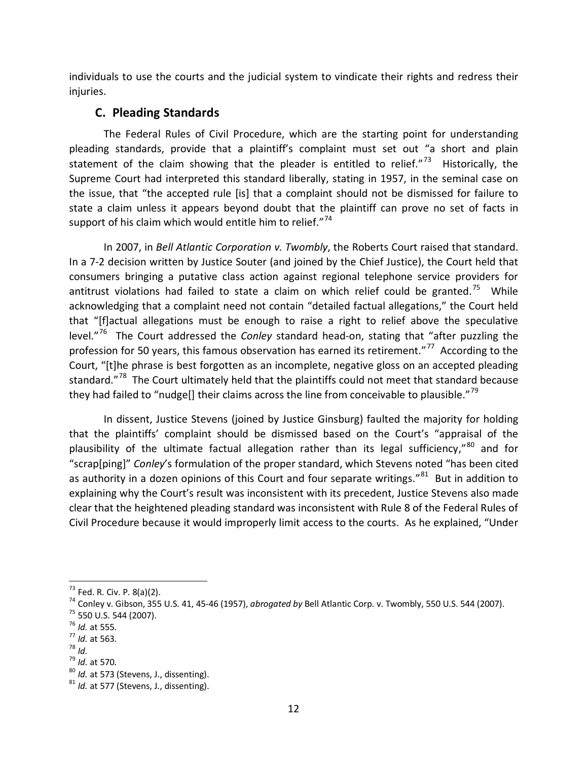individuals to use the courts and the judicial system to vindicate their rights and redress their injuries.

## **C. Pleading Standards**

The Federal Rules of Civil Procedure, which are the starting point for understanding pleading standards, provide that a plaintiff's complaint must set out "a short and plain statement of the claim showing that the pleader is entitled to relief."<sup>73</sup> Historically, the Supreme Court had interpreted this standard liberally, stating in 1957, in the seminal case on the issue, that "the accepted rule [is] that a complaint should not be dismissed for failure to state a claim unless it appears beyond doubt that the plaintiff can prove no set of facts in support of his claim which would entitle him to relief. $174$  $174$ 

In 2007, in *Bell Atlantic Corporation v. Twombly*, the Roberts Court raised that standard. In a 7-2 decision written by Justice Souter (and joined by the Chief Justice), the Court held that consumers bringing a putative class action against regional telephone service providers for antitrust violations had failed to state a claim on which relief could be granted.<sup>[75](#page-11-2)</sup> While acknowledging that a complaint need not contain "detailed factual allegations," the Court held that "[f]actual allegations must be enough to raise a right to relief above the speculative level."[76](#page-11-3) The Court addressed the *Conley* standard head-on, stating that "after puzzling the profession for 50 years, this famous observation has earned its retirement."<sup>77</sup> According to the Court, "[t]he phrase is best forgotten as an incomplete, negative gloss on an accepted pleading standard."<sup>[78](#page-11-5)</sup> The Court ultimately held that the plaintiffs could not meet that standard because they had failed to "nudge[] their claims across the line from conceivable to plausible."<sup>[79](#page-11-6)</sup>

In dissent, Justice Stevens (joined by Justice Ginsburg) faulted the majority for holding that the plaintiffs' complaint should be dismissed based on the Court's "appraisal of the plausibility of the ultimate factual allegation rather than its legal sufficiency,"<sup>[80](#page-11-7)</sup> and for "scrap[ping]" *Conley*'s formulation of the proper standard, which Stevens noted "has been cited as authority in a dozen opinions of this Court and four separate writings."<sup>[81](#page-11-8)</sup> But in addition to explaining why the Court's result was inconsistent with its precedent, Justice Stevens also made clear that the heightened pleading standard was inconsistent with Rule 8 of the Federal Rules of Civil Procedure because it would improperly limit access to the courts. As he explained, "Under

 $\overline{a}$ 

<span id="page-11-1"></span><span id="page-11-0"></span><sup>&</sup>lt;sup>73</sup> Fed. R. Civ. P. 8(a)(2).<br><sup>74</sup> Conley v. Gibson, 355 U.S. 41, 45-46 (1957), *abrogated by* Bell Atlantic Corp. v. Twombly, 550 U.S. 544 (2007).<br><sup>75</sup> 550 U.S. 544 (2007).<br><sup>75</sup> 550 U.S. 544 (2007).<br><sup>76</sup> *Id.* at 555.<br><sup>7</sup>

<span id="page-11-2"></span>

<span id="page-11-3"></span>

<span id="page-11-4"></span>

<span id="page-11-5"></span>

<span id="page-11-6"></span>

<span id="page-11-8"></span><span id="page-11-7"></span>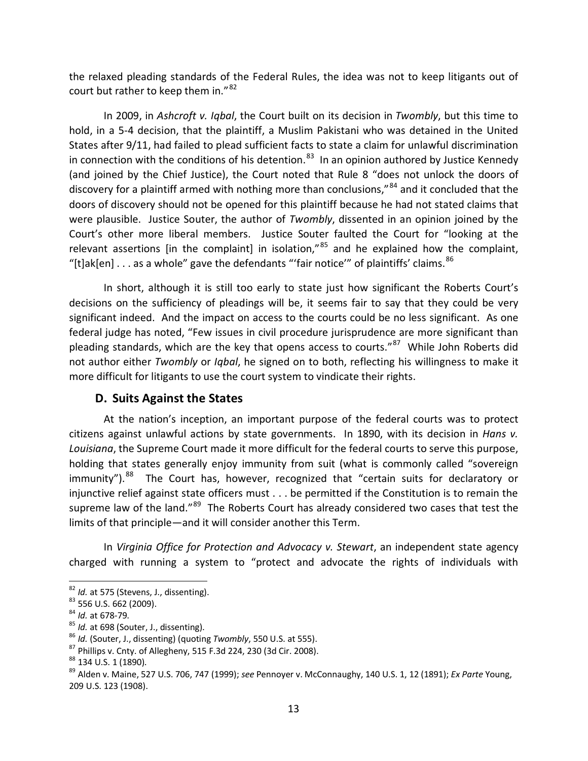the relaxed pleading standards of the Federal Rules, the idea was not to keep litigants out of court but rather to keep them in."<sup>[82](#page-12-0)</sup>

In 2009, in *Ashcroft v. Iqbal*, the Court built on its decision in *Twombly*, but this time to hold, in a 5-4 decision, that the plaintiff, a Muslim Pakistani who was detained in the United States after 9/11, had failed to plead sufficient facts to state a claim for unlawful discrimination in connection with the conditions of his detention.<sup>[83](#page-12-1)</sup> In an opinion authored by Justice Kennedy (and joined by the Chief Justice), the Court noted that Rule 8 "does not unlock the doors of discovery for a plaintiff armed with nothing more than conclusions,"<sup>[84](#page-12-2)</sup> and it concluded that the doors of discovery should not be opened for this plaintiff because he had not stated claims that were plausible. Justice Souter, the author of *Twombly*, dissented in an opinion joined by the Court's other more liberal members. Justice Souter faulted the Court for "looking at the relevant assertions [in the complaint] in isolation," $85$  and he explained how the complaint, "[t]ak[en]  $\ldots$  as a whole" gave the defendants "'fair notice'" of plaintiffs' claims.  $^{86}$  $^{86}$  $^{86}$ 

In short, although it is still too early to state just how significant the Roberts Court's decisions on the sufficiency of pleadings will be, it seems fair to say that they could be very significant indeed. And the impact on access to the courts could be no less significant. As one federal judge has noted, "Few issues in civil procedure jurisprudence are more significant than pleading standards, which are the key that opens access to courts."<sup>[87](#page-12-5)</sup> While John Roberts did not author either *Twombly* or *Iqbal*, he signed on to both, reflecting his willingness to make it more difficult for litigants to use the court system to vindicate their rights.

### **D. Suits Against the States**

At the nation's inception, an important purpose of the federal courts was to protect citizens against unlawful actions by state governments. In 1890, with its decision in *Hans v. Louisiana*, the Supreme Court made it more difficult for the federal courts to serve this purpose, holding that states generally enjoy immunity from suit (what is commonly called "sovereign immunity").<sup>[88](#page-12-6)</sup> The Court has, however, recognized that "certain suits for declaratory or injunctive relief against state officers must . . . be permitted if the Constitution is to remain the supreme law of the land."<sup>89</sup> The Roberts Court has already considered two cases that test the limits of that principle—and it will consider another this Term.

In *Virginia Office for Protection and Advocacy v. Stewart*, an independent state agency charged with running a system to "protect and advocate the rights of individuals with

<span id="page-12-2"></span>

<span id="page-12-3"></span>

<span id="page-12-4"></span>

<span id="page-12-5"></span>

<span id="page-12-7"></span><span id="page-12-6"></span>

<span id="page-12-1"></span><span id="page-12-0"></span><sup>&</sup>lt;sup>82</sup> *Id.* at 575 (Stevens, J., dissenting).<br><sup>83</sup> 556 U.S. 662 (2009).<br><sup>84</sup> *Id.* at 678-79.<br><sup>85</sup> *Id.* at 698 (Souter, J., dissenting).<br><sup>86</sup> *Id.* (Souter, J., dissenting) (quoting Twombly, 550 U.S. at 555).<br><sup>87</sup> Phillip 209 U.S. 123 (1908).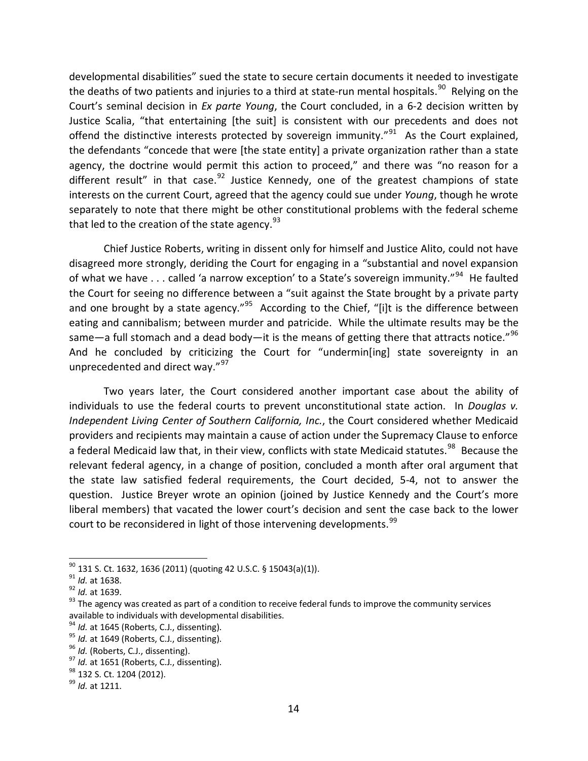developmental disabilities" sued the state to secure certain documents it needed to investigate the deaths of two patients and injuries to a third at state-run mental hospitals.<sup>[90](#page-13-0)</sup> Relying on the Court's seminal decision in *Ex parte Young*, the Court concluded, in a 6-2 decision written by Justice Scalia, "that entertaining [the suit] is consistent with our precedents and does not offend the distinctive interests protected by sovereign immunity." $91$  As the Court explained, the defendants "concede that were [the state entity] a private organization rather than a state agency, the doctrine would permit this action to proceed," and there was "no reason for a different result" in that case.  $92$  Justice Kennedy, one of the greatest champions of state interests on the current Court, agreed that the agency could sue under *Young*, though he wrote separately to note that there might be other constitutional problems with the federal scheme that led to the creation of the state agency.  $93<sup>3</sup>$  $93<sup>3</sup>$ 

Chief Justice Roberts, writing in dissent only for himself and Justice Alito, could not have disagreed more strongly, deriding the Court for engaging in a "substantial and novel expansion of what we have . . . called 'a narrow exception' to a State's sovereign immunity."<sup>94</sup> He faulted the Court for seeing no difference between a "suit against the State brought by a private party and one brought by a state agency."<sup>[95](#page-13-5)</sup> According to the Chief, "[i]t is the difference between eating and cannibalism; between murder and patricide. While the ultimate results may be the same—a full stomach and a dead body—it is the means of getting there that attracts notice."<sup>[96](#page-13-6)</sup> And he concluded by criticizing the Court for "undermin[ing] state sovereignty in an unprecedented and direct way."<sup>[97](#page-13-7)</sup>

Two years later, the Court considered another important case about the ability of individuals to use the federal courts to prevent unconstitutional state action. In *Douglas v. Independent Living Center of Southern California, Inc.*, the Court considered whether Medicaid providers and recipients may maintain a cause of action under the Supremacy Clause to enforce a federal Medicaid law that, in their view, conflicts with state Medicaid statutes.<sup>[98](#page-13-8)</sup> Because the relevant federal agency, in a change of position, concluded a month after oral argument that the state law satisfied federal requirements, the Court decided, 5-4, not to answer the question. Justice Breyer wrote an opinion (joined by Justice Kennedy and the Court's more liberal members) that vacated the lower court's decision and sent the case back to the lower court to be reconsidered in light of those intervening developments.<sup>[99](#page-13-9)</sup>

<span id="page-13-0"></span> $90$  131 S. Ct. 1632, 1636 (2011) (quoting 42 U.S.C. § 15043(a)(1)).

<span id="page-13-3"></span><span id="page-13-2"></span>

<span id="page-13-1"></span><sup>&</sup>lt;sup>91</sup> Id. at 1638.<br><sup>92</sup> Id. at 1639.<br><sup>93</sup> The agency was created as part of a condition to receive federal funds to improve the community services available to individuals with developmental disabilities.<br><sup>94</sup> *Id.* at 1645 (Roberts, C.J., dissenting).<br><sup>95</sup> *Id.* at 1649 (Roberts, C.J., dissenting).<br><sup>96</sup> *Id.* (Roberts, C.J., dissenting).<br><sup>97</sup> *Id.* at 1651 (Roberts

<span id="page-13-4"></span>

<span id="page-13-5"></span>

<span id="page-13-6"></span>

<span id="page-13-8"></span><span id="page-13-7"></span>

<span id="page-13-9"></span>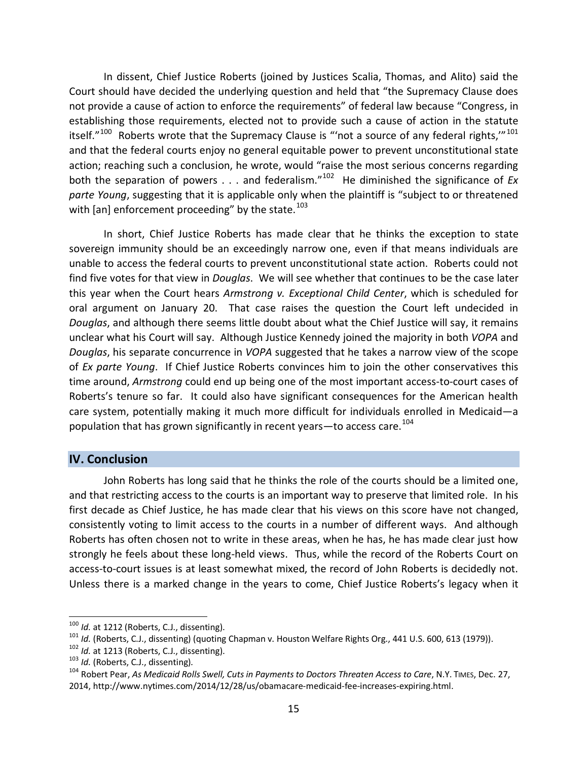In dissent, Chief Justice Roberts (joined by Justices Scalia, Thomas, and Alito) said the Court should have decided the underlying question and held that "the Supremacy Clause does not provide a cause of action to enforce the requirements" of federal law because "Congress, in establishing those requirements, elected not to provide such a cause of action in the statute itself." $100$  Roberts wrote that the Supremacy Clause is "'not a source of any federal rights," $101$ and that the federal courts enjoy no general equitable power to prevent unconstitutional state action; reaching such a conclusion, he wrote, would "raise the most serious concerns regarding both the separation of powers . . . and federalism."[102](#page-14-2) He diminished the significance of *Ex parte Young*, suggesting that it is applicable only when the plaintiff is "subject to or threatened with [an] enforcement proceeding" by the state. $^{103}$  $^{103}$  $^{103}$ 

In short, Chief Justice Roberts has made clear that he thinks the exception to state sovereign immunity should be an exceedingly narrow one, even if that means individuals are unable to access the federal courts to prevent unconstitutional state action. Roberts could not find five votes for that view in *Douglas*. We will see whether that continues to be the case later this year when the Court hears *Armstrong v. Exceptional Child Center*, which is scheduled for oral argument on January 20. That case raises the question the Court left undecided in *Douglas*, and although there seems little doubt about what the Chief Justice will say, it remains unclear what his Court will say. Although Justice Kennedy joined the majority in both *VOPA* and *Douglas*, his separate concurrence in *VOPA* suggested that he takes a narrow view of the scope of *Ex parte Young*. If Chief Justice Roberts convinces him to join the other conservatives this time around, *Armstrong* could end up being one of the most important access-to-court cases of Roberts's tenure so far. It could also have significant consequences for the American health care system, potentially making it much more difficult for individuals enrolled in Medicaid—a population that has grown significantly in recent years—to access care.<sup>[104](#page-14-4)</sup>

#### **IV. Conclusion**

John Roberts has long said that he thinks the role of the courts should be a limited one, and that restricting access to the courts is an important way to preserve that limited role. In his first decade as Chief Justice, he has made clear that his views on this score have not changed, consistently voting to limit access to the courts in a number of different ways. And although Roberts has often chosen not to write in these areas, when he has, he has made clear just how strongly he feels about these long-held views. Thus, while the record of the Roberts Court on access-to-court issues is at least somewhat mixed, the record of John Roberts is decidedly not. Unless there is a marked change in the years to come, Chief Justice Roberts's legacy when it

<sup>&</sup>lt;sup>100</sup> Id. at 1212 (Roberts, C.J., dissenting).

<span id="page-14-1"></span><span id="page-14-0"></span><sup>&</sup>lt;sup>101</sup> *Id.* (Roberts, C.J., dissenting) (quoting Chapman v. Houston Welfare Rights Org., 441 U.S. 600, 613 (1979)).<br><sup>102</sup> *Id.* at 1213 (Roberts, C.J., dissenting).<br><sup>103</sup> *Id.* (Roberts, C.J., dissenting).<br><sup>104</sup> Robert Pe

<span id="page-14-2"></span>

<span id="page-14-3"></span>

<span id="page-14-4"></span><sup>2014,</sup> http://www.nytimes.com/2014/12/28/us/obamacare-medicaid-fee-increases-expiring.html.